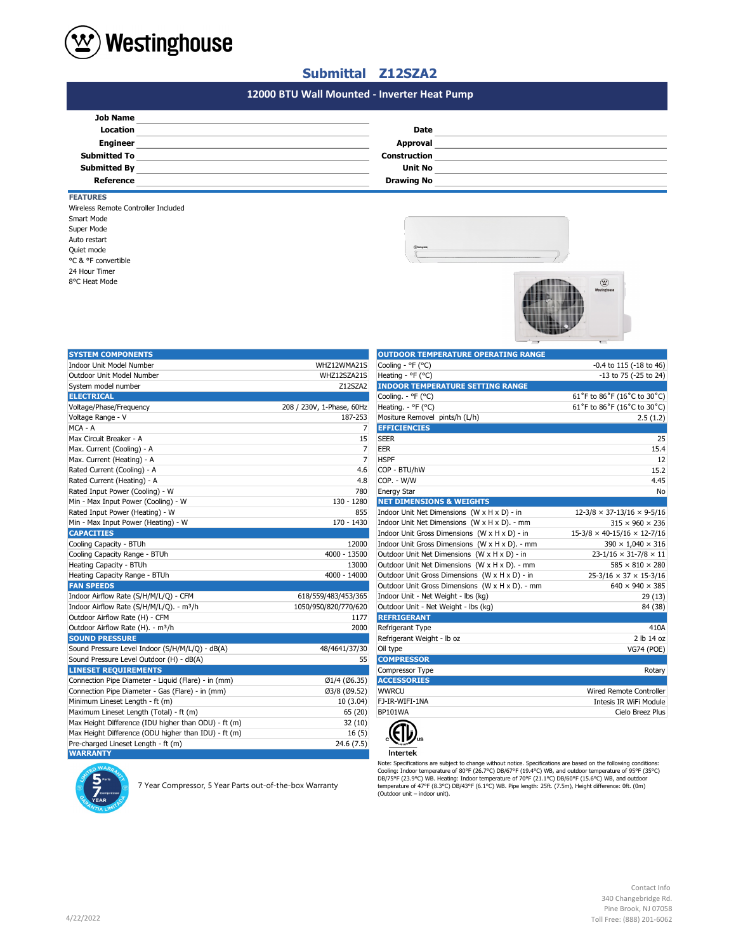

## **Submittal Z12SZA2**

## **#N/A 12000 BTU Wall Mounted - Inverter Heat Pump**

| Date                |  |
|---------------------|--|
| Approval            |  |
| <b>Construction</b> |  |
| <b>Unit No</b>      |  |
| <b>Drawing No</b>   |  |
|                     |  |

## 24 Hour Timer 8°C Heat Mode Auto restart Quiet mode °C & °F convertible Wireless Remote Controller Included Smart Mode **FEATURES** Super Mode





| <b>SYSTEM COMPONENTS</b>                             |                           | <b>OUTDOOR TEMPERATURE OPERATING RANGE</b>      |                                         |
|------------------------------------------------------|---------------------------|-------------------------------------------------|-----------------------------------------|
| Indoor Unit Model Number                             | WHZ12WMA21S               | Cooling - °F (°C)                               | -0.4 to 115 (-18 to 46)                 |
| Outdoor Unit Model Number                            | WHZ12SZA21S               | Heating - °F (°C)                               | -13 to 75 (-25 to 24)                   |
| System model number                                  | Z12SZA2                   | <b>INDOOR TEMPERATURE SETTING RANGE</b>         |                                         |
| <b>ELECTRICAL</b>                                    |                           | Cooling. - °F (°C)                              | 61°F to 86°F (16°C to 30°C)             |
| Voltage/Phase/Frequency                              | 208 / 230V, 1-Phase, 60Hz | Heating. - ${}^{\circ}$ F ( ${}^{\circ}$ C)     | 61°F to 86°F (16°C to 30°C)             |
| Voltage Range - V                                    | 187-253                   | Mositure Removel pints/h (L/h)                  | 2.5(1.2)                                |
| MCA - A                                              | 7                         | <b>EFFICIENCIES</b>                             |                                         |
| Max Circuit Breaker - A                              | 15                        | <b>SEER</b>                                     | 25                                      |
| Max. Current (Cooling) - A                           | $\overline{7}$            | EER                                             | 15.4                                    |
| Max. Current (Heating) - A                           | $\overline{7}$            | <b>HSPF</b>                                     | 12                                      |
| Rated Current (Cooling) - A                          | 4.6                       | COP - BTU/hW                                    | 15.2                                    |
| Rated Current (Heating) - A                          | 4.8                       | COP. - W/W                                      | 4.45                                    |
| Rated Input Power (Cooling) - W                      | 780                       | <b>Energy Star</b>                              | No                                      |
| Min - Max Input Power (Cooling) - W                  | 130 - 1280                | <b>NET DIMENSIONS &amp; WEIGHTS</b>             |                                         |
| Rated Input Power (Heating) - W                      | 855                       | Indoor Unit Net Dimensions (W x H x D) - in     | $12-3/8 \times 37-13/16 \times 9-5/16$  |
| Min - Max Input Power (Heating) - W                  | 170 - 1430                | Indoor Unit Net Dimensions (W x H x D). - mm    | $315 \times 960 \times 236$             |
| <b>CAPACITIES</b>                                    |                           | Indoor Unit Gross Dimensions (W x H x D) - in   | $15-3/8 \times 40-15/16 \times 12-7/16$ |
| Cooling Capacity - BTUh                              | 12000                     | Indoor Unit Gross Dimensions (W x H x D). - mm  | $390 \times 1,040 \times 316$           |
| Cooling Capacity Range - BTUh                        | 4000 - 13500              | Outdoor Unit Net Dimensions (W x H x D) - in    | $23 - 1/16 \times 31 - 7/8 \times 11$   |
| Heating Capacity - BTUh                              | 13000                     | Outdoor Unit Net Dimensions (W x H x D). - mm   | $585 \times 810 \times 280$             |
| Heating Capacity Range - BTUh                        | 4000 - 14000              | Outdoor Unit Gross Dimensions (W x H x D) - in  | $25-3/16 \times 37 \times 15-3/16$      |
| <b>FAN SPEEDS</b>                                    |                           | Outdoor Unit Gross Dimensions (W x H x D). - mm | $640 \times 940 \times 385$             |
| Indoor Airflow Rate (S/H/M/L/Q) - CFM                | 618/559/483/453/365       | Indoor Unit - Net Weight - lbs (kg)             | 29(13)                                  |
| Indoor Airflow Rate (S/H/M/L/Q). - m <sup>3</sup> /h | 1050/950/820/770/620      | Outdoor Unit - Net Weight - Ibs (kg)            | 84 (38)                                 |
| Outdoor Airflow Rate (H) - CFM                       | 1177                      | <b>REFRIGERANT</b>                              |                                         |
| Outdoor Airflow Rate (H). - m <sup>3</sup> /h        | 2000                      | Refrigerant Type                                | 410A                                    |
| <b>SOUND PRESSURE</b>                                |                           | Refrigerant Weight - Ib oz                      | 2 lb 14 oz                              |
| Sound Pressure Level Indoor (S/H/M/L/Q) - dB(A)      | 48/4641/37/30             | Oil type                                        | <b>VG74 (POE)</b>                       |
| Sound Pressure Level Outdoor (H) - dB(A)             | 55                        | <b>COMPRESSOR</b>                               |                                         |
| <b>LINESET REQUIREMENTS</b>                          |                           | Compressor Type                                 | Rotary                                  |
| Connection Pipe Diameter - Liquid (Flare) - in (mm)  | Ø1/4 (Ø6.35)              | <b>ACCESSORIES</b>                              |                                         |
| Connection Pipe Diameter - Gas (Flare) - in (mm)     | Ø3/8 (Ø9.52)              | <b>WWRCU</b>                                    | Wired Remote Controller                 |
| Minimum Lineset Length - ft (m)                      | 10 (3.04)                 | FJ-IR-WIFI-1NA                                  | Intesis IR WiFi Module                  |
| Maximum Lineset Length (Total) - ft (m)              | 65 (20)                   | <b>BP101WA</b>                                  | Cielo Breez Plus                        |
| Max Height Difference (IDU higher than ODU) - ft (m) | 32(10)                    |                                                 |                                         |
| Max Height Difference (ODU higher than IDU) - ft (m) | 16(5)                     |                                                 |                                         |
| Pre-charged Lineset Length - ft (m)                  | 24.6 (7.5)                |                                                 |                                         |
| <b>WARRANTY</b>                                      |                           | <b>Intertek</b>                                 |                                         |

| Cooling - °F (°C)                               | -0.4 to 115 (-18 to 46)                 |
|-------------------------------------------------|-----------------------------------------|
| Heating - °F (°C)                               | -13 to 75 (-25 to 24)                   |
| <b>INDOOR TEMPERATURE SETTING RANGE</b>         |                                         |
| Cooling. - °F (°C)                              | 61°F to 86°F (16°C to 30°C)             |
| Heating. - °F (°C)                              | 61°F to 86°F (16°C to 30°C)             |
| Mositure Removel pints/h (L/h)                  | 2.5(1.2)                                |
| <b>EFFICIENCIES</b>                             |                                         |
| <b>SEER</b>                                     | 25                                      |
| <b>EER</b>                                      | 15.4                                    |
| <b>HSPF</b>                                     | 12                                      |
| COP - BTU/hW                                    | 15.2                                    |
| COP. - W/W                                      | 4.45                                    |
| <b>Energy Star</b>                              | No                                      |
| <b>NET DIMENSIONS &amp; WEIGHTS</b>             |                                         |
| Indoor Unit Net Dimensions (W x H x D) - in     | $12-3/8 \times 37-13/16 \times 9-5/16$  |
| Indoor Unit Net Dimensions (W x H x D). - mm    | $315 \times 960 \times 236$             |
| Indoor Unit Gross Dimensions (W x H x D) - in   | $15-3/8 \times 40-15/16 \times 12-7/16$ |
| Indoor Unit Gross Dimensions (W x H x D). - mm  | 390 × 1,040 × 316                       |
| Outdoor Unit Net Dimensions (W x H x D) - in    | $23 - 1/16 \times 31 - 7/8 \times 11$   |
| Outdoor Unit Net Dimensions (W x H x D). - mm   | $585 \times 810 \times 280$             |
| Outdoor Unit Gross Dimensions (W x H x D) - in  | $25-3/16 \times 37 \times 15-3/16$      |
| Outdoor Unit Gross Dimensions (W x H x D). - mm | $640 \times 940 \times 385$             |
| Indoor Unit - Net Weight - lbs (kg)             | 29 (13)                                 |
| Outdoor Unit - Net Weight - Ibs (kg)            | 84 (38)                                 |
| <b>REFRIGERANT</b>                              |                                         |
| Refrigerant Type                                | 410A                                    |
| Refrigerant Weight - Ib oz                      | 2 lb 14 oz                              |
| Oil type                                        | <b>VG74 (POE)</b>                       |
| <b>COMPRESSOR</b>                               |                                         |
| Compressor Type                                 | Rotary                                  |
| <b>ACCESSORIES</b>                              |                                         |
| <b>WWRCU</b>                                    | Wired Remote Controller                 |
| FJ-IR-WIFI-1NA                                  | Intesis IR WiFi Module                  |
| BP101WA                                         | Cielo Breez Plus                        |
|                                                 |                                         |



Note: Specifications are subject to change without notice. Specifications are based on the following conditions:<br>Cooling: Indoor temperature of 80°F (26.7°C) DB/67°F (19.4°C) WB, and outdoor temperature of 95°F (35°C)<br>DB/7



7 Year Compressor, 5 Year Parts out-of-the-box Warranty

Contact Info 340 Changebridge Rd. Pine Brook, NJ 07058 Toll Free: (888) 201-6062